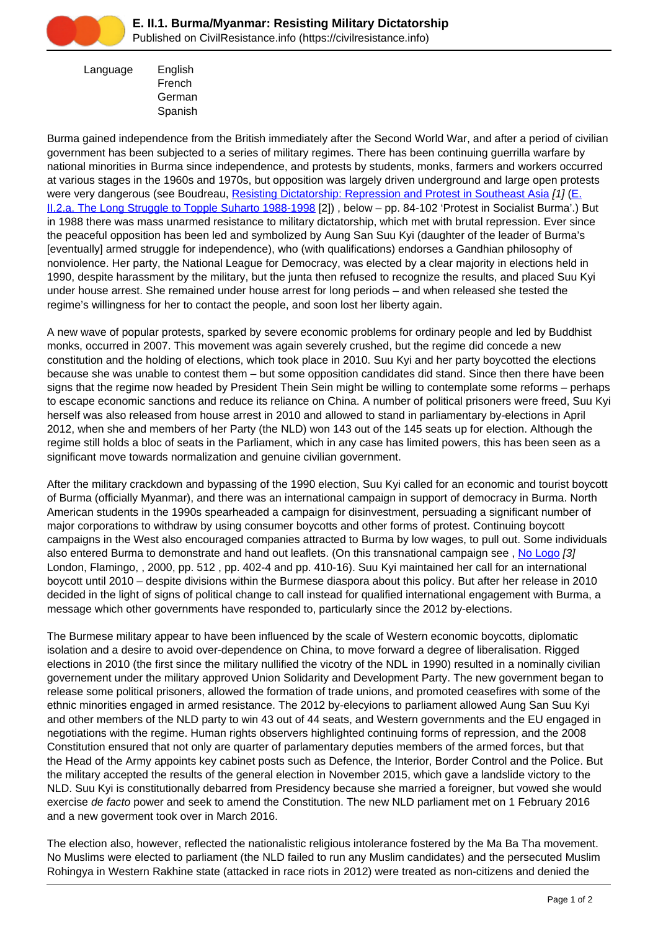

 Language English French German Spanish

Burma gained independence from the British immediately after the Second World War, and after a period of civilian government has been subjected to a series of military regimes. There has been continuing guerrilla warfare by national minorities in Burma since independence, and protests by students, monks, farmers and workers occurred at various stages in the 1960s and 1970s, but opposition was largely driven underground and large open protests were very dangerous (see Boudreau, [Resisting Dictatorship: Repression and Protest in Southeast Asia](https://civilresistance.info/biblio-item/2004/resisting-dictatorship-repression-and-protest-southeast-asia) [1] [\(E.](https://civilresistance.info/section/e-resisting-oppressive-dictatorial-military-or-authoritarian-rule/e-ii-asia-and-4) [II.2.a. The Long Struggle to Topple Suharto 1988-1998](https://civilresistance.info/section/e-resisting-oppressive-dictatorial-military-or-authoritarian-rule/e-ii-asia-and-4) [2]) , below – pp. 84-102 'Protest in Socialist Burma'.) But in 1988 there was mass unarmed resistance to military dictatorship, which met with brutal repression. Ever since the peaceful opposition has been led and symbolized by Aung San Suu Kyi (daughter of the leader of Burma's [eventually] armed struggle for independence), who (with qualifications) endorses a Gandhian philosophy of nonviolence. Her party, the National League for Democracy, was elected by a clear majority in elections held in 1990, despite harassment by the military, but the junta then refused to recognize the results, and placed Suu Kyi under house arrest. She remained under house arrest for long periods – and when released she tested the regime's willingness for her to contact the people, and soon lost her liberty again.

A new wave of popular protests, sparked by severe economic problems for ordinary people and led by Buddhist monks, occurred in 2007. This movement was again severely crushed, but the regime did concede a new constitution and the holding of elections, which took place in 2010. Suu Kyi and her party boycotted the elections because she was unable to contest them – but some opposition candidates did stand. Since then there have been signs that the regime now headed by President Thein Sein might be willing to contemplate some reforms – perhaps to escape economic sanctions and reduce its reliance on China. A number of political prisoners were freed, Suu Kyi herself was also released from house arrest in 2010 and allowed to stand in parliamentary by-elections in April 2012, when she and members of her Party (the NLD) won 143 out of the 145 seats up for election. Although the regime still holds a bloc of seats in the Parliament, which in any case has limited powers, this has been seen as a significant move towards normalization and genuine civilian government.

After the military crackdown and bypassing of the 1990 election, Suu Kyi called for an economic and tourist boycott of Burma (officially Myanmar), and there was an international campaign in support of democracy in Burma. North American students in the 1990s spearheaded a campaign for disinvestment, persuading a significant number of major corporations to withdraw by using consumer boycotts and other forms of protest. Continuing boycott campaigns in the West also encouraged companies attracted to Burma by low wages, to pull out. Some individuals also entered Burma to demonstrate and hand out leaflets. (On this transnational campaign see, [No Logo](https://civilresistance.info/biblio-item/2000/no-logo) [3] London, Flamingo, , 2000, pp. 512 , pp. 402-4 and pp. 410-16). Suu Kyi maintained her call for an international boycott until 2010 – despite divisions within the Burmese diaspora about this policy. But after her release in 2010 decided in the light of signs of political change to call instead for qualified international engagement with Burma, a message which other governments have responded to, particularly since the 2012 by-elections.

The Burmese military appear to have been influenced by the scale of Western economic boycotts, diplomatic isolation and a desire to avoid over-dependence on China, to move forward a degree of liberalisation. Rigged elections in 2010 (the first since the military nullified the vicotry of the NDL in 1990) resulted in a nominally civilian governement under the military approved Union Solidarity and Development Party. The new government began to release some political prisoners, allowed the formation of trade unions, and promoted ceasefires with some of the ethnic minorities engaged in armed resistance. The 2012 by-elecyions to parliament allowed Aung San Suu Kyi and other members of the NLD party to win 43 out of 44 seats, and Western governments and the EU engaged in negotiations with the regime. Human rights observers highlighted continuing forms of repression, and the 2008 Constitution ensured that not only are quarter of parlamentary deputies members of the armed forces, but that the Head of the Army appoints key cabinet posts such as Defence, the Interior, Border Control and the Police. But the military accepted the results of the general election in November 2015, which gave a landslide victory to the NLD. Suu Kyi is constitutionally debarred from Presidency because she married a foreigner, but vowed she would exercise de facto power and seek to amend the Constitution. The new NLD parliament met on 1 February 2016 and a new goverment took over in March 2016.

The election also, however, reflected the nationalistic religious intolerance fostered by the Ma Ba Tha movement. No Muslims were elected to parliament (the NLD failed to run any Muslim candidates) and the persecuted Muslim Rohingya in Western Rakhine state (attacked in race riots in 2012) were treated as non-citizens and denied the